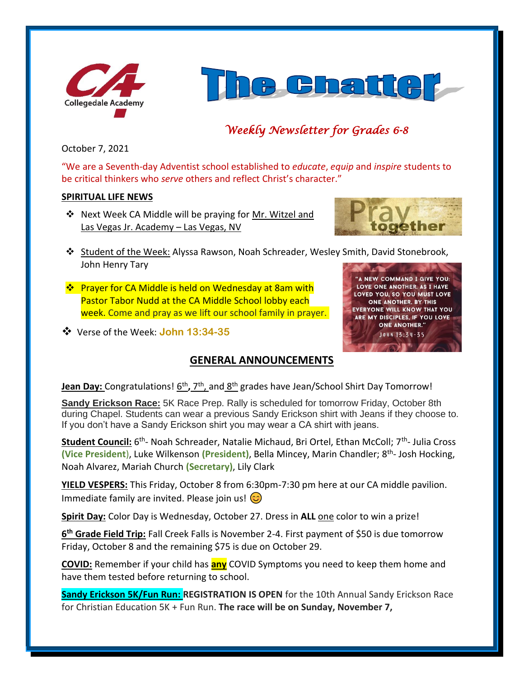



# *Weekly Newsletter for Grades 6-8*

October 7, 2021

"We are a Seventh-day Adventist school established to *educate*, *equip* and *inspire* students to be critical thinkers who *serve* others and reflect Christ's character."

## **SPIRITUAL LIFE NEWS**

❖ Next Week CA Middle will be praying for Mr. Witzel and Las Vegas Jr. Academy – Las Vegas, NV



'A NEW COMMAND I GIVE YOU: LOVE ONE ANOTHER. AS I HAVE LOVED YOU, SO YOU MUST LOVE ONE ANOTHER. BY THIS **EVERYONE WILL KNOW THAT YOU** ARE MY DISCIPLES, IF YOU LOVE **ONE ANOTHER."** JOHN 13:34-35

- ❖ Student of the Week: Alyssa Rawson, Noah Schreader, Wesley Smith, David Stonebrook, John Henry Tary
- ❖ Prayer for CA Middle is held on Wednesday at 8am with Pastor Tabor Nudd at the CA Middle School lobby each week. Come and pray as we lift our school family in prayer.
- ❖ Verse of the Week: **John 13:34-35**

## **GENERAL ANNOUNCEMENTS**



**Sandy Erickson Race:** 5K Race Prep. Rally is scheduled for tomorrow Friday, October 8th during Chapel. Students can wear a previous Sandy Erickson shirt with Jeans if they choose to. If you don't have a Sandy Erickson shirt you may wear a CA shirt with jeans.

Student Council: 6<sup>th</sup>- Noah Schreader, Natalie Michaud, Bri Ortel, Ethan McColl; 7<sup>th</sup>- Julia Cross **(Vice President**), Luke Wilkenson **(President)**, Bella Mincey, Marin Chandler; 8th - Josh Hocking, Noah Alvarez, Mariah Church **(Secretary)**, Lily Clark

**YIELD VESPERS:** This Friday, October 8 from 6:30pm-7:30 pm here at our CA middle pavilion. Immediate family are invited. Please join us!  $\circled{c}$ 

**Spirit Day:** Color Day is Wednesday, October 27. Dress in **ALL** one color to win a prize!

**6 th Grade Field Trip:** Fall Creek Falls is November 2-4. First payment of \$50 is due tomorrow Friday, October 8 and the remaining \$75 is due on October 29.

**COVID:** Remember if your child has **any** COVID Symptoms you need to keep them home and have them tested before returning to school.

**Sandy Erickson 5K/Fun Run: REGISTRATION IS OPEN** for the 10th Annual Sandy Erickson Race for Christian Education 5K + Fun Run. **The race will be on Sunday, November 7,**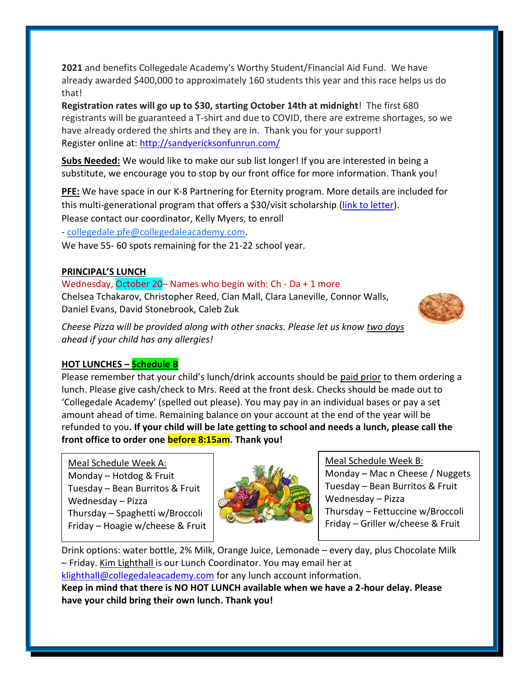**2021** and benefits Collegedale Academy's Worthy Student/Financial Aid Fund. We have already awarded \$400,000 to approximately 160 students this year and this race helps us do that!

**Registration rates will go up to \$30, starting October 14th at midnight**! The first 680 registrants will be guaranteed a T-shirt and due to COVID, there are extreme shortages, so we have already ordered the shirts and they are in. Thank you for your support! Register online at:<http://sandyericksonfunrun.com/>

**Subs Needed:** We would like to make our sub list longer! If you are interested in being a substitute, we encourage you to stop by our front office for more information. Thank you!

**PFE:** We have space in our K-8 Partnering for Eternity program. More details are included for this multi-generational program that offers a \$30/visit scholarship [\(link to letter\)](https://www.collegedaleacademy.com/wp-content/uploads/2021/09/PFE_PgmEntryExplanation_2021_K-8.pdf). Please contact our coordinator, Kelly Myers, to enroll

- [collegedale.pfe@collegedaleacademy.com.](mailto:collegedale.pfe@collegedaleacademy.com)

We have 55- 60 spots remaining for the 21-22 school year.

## **PRINCIPAL'S LUNCH**

## Wednesday, October 20– Names who begin with: Ch - Da + 1 more

Chelsea Tchakarov, Christopher Reed, Cian Mall, Clara Laneville, Connor Walls, Daniel Evans, David Stonebrook, Caleb Zuk



*Cheese Pizza will be provided along with other snacks. Please let us know two days ahead if your child has any allergies!*

## **HOT LUNCHES – Schedule B**

Please remember that your child's lunch/drink accounts should be paid prior to them ordering a lunch. Please give cash/check to Mrs. Reed at the front desk. Checks should be made out to 'Collegedale Academy' (spelled out please). You may pay in an individual bases or pay a set amount ahead of time. Remaining balance on your account at the end of the year will be refunded to you**. If your child will be late getting to school and needs a lunch, please call the front office to order one before 8:15am. Thank you!** 

Meal Schedule Week A: Monday – Hotdog  $&$  Fruit Tuesday – Bean Burritos & Fruit Wednesday – Pizza Thursday – Spaghetti w/Broccoli Friday – Hoagie w/cheese & Fruit



Meal Schedule Week B: Monday – Mac n Cheese / Nuggets Tuesday – Bean Burritos & Fruit Wednesday – Pizza Thursday – Fettuccine w/Broccoli Friday – Griller w/cheese & Fruit

Drink options: water bottle, 2% Milk, Orange Juice, Lemonade – every day, plus Chocolate Milk – Friday. Kim Lighthall is our Lunch Coordinator. You may email her at [klighthall@collegedaleacademy.com](mailto:klighthall@collegedaleacademy.com) for any lunch account information. **Keep in mind that there is NO HOT LUNCH available when we have a 2-hour delay. Please have your child bring their own lunch. Thank you!**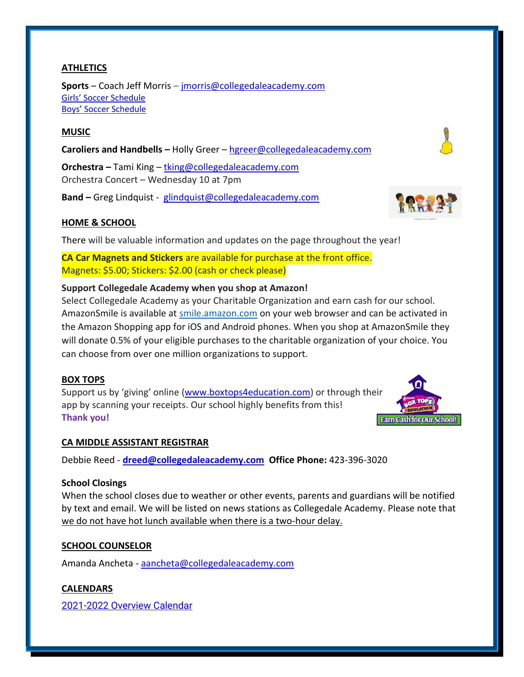## **ATHLETICS**

**Sports** – Coach Jeff Morris – [jmorris@collegedaleacademy.com](mailto:jmorris@collegedaleacademy.com) [Girls' Soccer Schedule](https://www.collegedaleacademy.com/wp-content/uploads/2021/10/Girls-2021-2022-Soccer-Schedule.pdf) [Boys' Soccer Schedule](https://www.collegedaleacademy.com/wp-content/uploads/2021/10/Boys-2021-2022-Soccer-Schedule.pdf)

## **MUSIC**

**Caroliers and Handbells –** Holly Greer – [hgreer@collegedaleacademy.com](mailto:hgreer@collegedaleacademy.com)

**Orchestra –** Tami King – [tking@collegedaleacademy.com](mailto:tking@collegedaleacademy.com) Orchestra Concert – Wednesday 10 at 7pm

**Band –** Greg Lindquist - [glindquist@collegedaleacademy.com](mailto:glindquist@collegedaleacademy.com)

## **HOME & SCHOOL**

There will be valuable information and updates on the page throughout the year!

**CA Car Magnets and Stickers** are available for purchase at the front office. Magnets: \$5.00; Stickers: \$2.00 (cash or check please)

## **Support Collegedale Academy when you shop at Amazon!**

Select Collegedale Academy as your Charitable Organization and earn cash for our school. AmazonSmile is available at [smile.amazon.com](https://smile.amazon.com/ref=smi_se_saas_lsmi_smi) on your web browser and can be activated in the Amazon Shopping app for iOS and Android phones. When you shop at AmazonSmile they will donate 0.5% of your eligible purchases to the charitable organization of your choice. You can choose from over one million organizations to support.

#### **BOX TOPS**

Support us by 'giving' online ([www.boxtops4education.com\)](http://www.boxtops4education.com/) or through their app by scanning your receipts. Our school highly benefits from this! **Thank you!**

## **CA MIDDLE ASSISTANT REGISTRAR**

Debbie Reed - **[dreed@collegedaleacademy.com](mailto:dreed@collegedaleacademy.com) Office Phone:** 423-396-3020

#### **School Closings**

When the school closes due to weather or other events, parents and guardians will be notified by text and email. We will be listed on news stations as Collegedale Academy. Please note that we do not have hot lunch available when there is a two-hour delay.

## **SCHOOL COUNSELOR**

Amanda Ancheta - [aancheta@collegedaleacademy.com](mailto:aancheta@collegedaleacademy.com)

#### **CALENDARS**

2021-2022 [Overview Calendar](https://www.collegedaleacademy.com/wp-content/uploads/2021/07/2021-22-Overview-Calendar-middle.pdf)